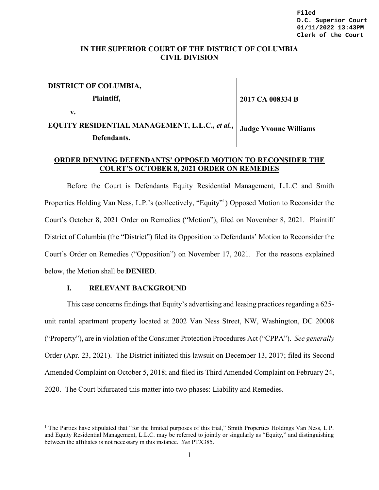## **IN THE SUPERIOR COURT OF THE DISTRICT OF COLUMBIA CIVIL DIVISION**

# **DISTRICT OF COLUMBIA, Plaintiff,**

**v.**

 $\overline{a}$ 

**2017 CA 008334 B**

#### **EQUITY RESIDENTIAL MANAGEMENT, L.L.C.,** *et al.***, Defendants. Judge Yvonne Williams**

## **ORDER DENYING DEFENDANTS' OPPOSED MOTION TO RECONSIDER THE COURT'S OCTOBER 8, 2021 ORDER ON REMEDIES**

Before the Court is Defendants Equity Residential Management, L.L.C and Smith Properties Holding Van Ness, L.P.'s (collectively, "Equity"<sup>1</sup>) Opposed Motion to Reconsider the Court's October 8, 2021 Order on Remedies ("Motion"), filed on November 8, 2021. Plaintiff District of Columbia (the "District") filed its Opposition to Defendants' Motion to Reconsider the Court's Order on Remedies ("Opposition") on November 17, 2021. For the reasons explained below, the Motion shall be **DENIED**.

## **I. RELEVANT BACKGROUND**

This case concerns findings that Equity's advertising and leasing practices regarding a 625 unit rental apartment property located at 2002 Van Ness Street, NW, Washington, DC 20008 ("Property"), are in violation of the Consumer Protection Procedures Act ("CPPA"). *See generally* Order (Apr. 23, 2021). The District initiated this lawsuit on December 13, 2017; filed its Second Amended Complaint on October 5, 2018; and filed its Third Amended Complaint on February 24, 2020. The Court bifurcated this matter into two phases: Liability and Remedies.

<sup>&</sup>lt;sup>1</sup> The Parties have stipulated that "for the limited purposes of this trial," Smith Properties Holdings Van Ness, L.P. and Equity Residential Management, L.L.C. may be referred to jointly or singularly as "Equity," and distinguishing between the affiliates is not necessary in this instance. *See* PTX385.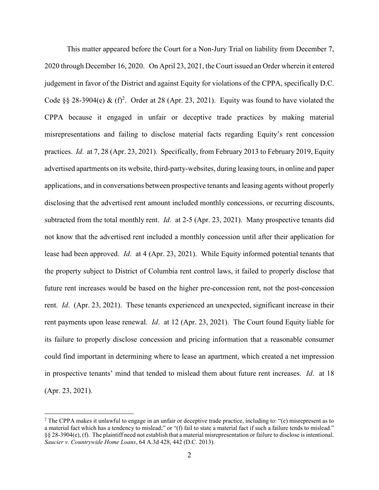This matter appeared before the Court for a Non-Jury Trial on liability from December 7, 2020 through December 16, 2020. On April 23, 2021, the Court issued an Order wherein it entered judgement in favor of the District and against Equity for violations of the CPPA, specifically D.C. Code §§ 28-3904(e) &  $(f)^2$ . Order at 28 (Apr. 23, 2021). Equity was found to have violated the CPPA because it engaged in unfair or deceptive trade practices by making material misrepresentations and failing to disclose material facts regarding Equity's rent concession practices. *Id*. at 7, 28 (Apr. 23, 2021). Specifically, from February 2013 to February 2019, Equity advertised apartments on its website, third-party-websites, during leasing tours, in online and paper applications, and in conversations between prospective tenants and leasing agents without properly disclosing that the advertised rent amount included monthly concessions, or recurring discounts, subtracted from the total monthly rent. *Id*. at 2-5 (Apr. 23, 2021). Many prospective tenants did not know that the advertised rent included a monthly concession until after their application for lease had been approved. *Id*. at 4 (Apr. 23, 2021). While Equity informed potential tenants that the property subject to District of Columbia rent control laws, it failed to properly disclose that future rent increases would be based on the higher pre-concession rent, not the post-concession rent. *Id*. (Apr. 23, 2021). These tenants experienced an unexpected, significant increase in their rent payments upon lease renewal. *Id*. at 12 (Apr. 23, 2021). The Court found Equity liable for its failure to properly disclose concession and pricing information that a reasonable consumer could find important in determining where to lease an apartment, which created a net impression in prospective tenants' mind that tended to mislead them about future rent increases. *Id*. at 18 (Apr. 23, 2021).

 $\overline{a}$ 

<sup>&</sup>lt;sup>2</sup> The CPPA makes it unlawful to engage in an unfair or deceptive trade practice, including to: "(e) misrepresent as to a material fact which has a tendency to mislead;" or "(f) fail to state a material fact if such a failure tends to mislead." §§ 28-3904(e), (f). The plaintiff need not establish that a material misrepresentation or failure to disclose is intentional. *Saucier v. Countrywide Home Loans*, 64 A.3d 428, 442 (D.C. 2013).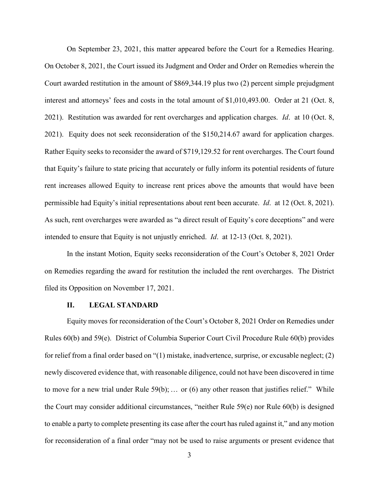On September 23, 2021, this matter appeared before the Court for a Remedies Hearing. On October 8, 2021, the Court issued its Judgment and Order and Order on Remedies wherein the Court awarded restitution in the amount of \$869,344.19 plus two (2) percent simple prejudgment interest and attorneys' fees and costs in the total amount of \$1,010,493.00. Order at 21 (Oct. 8, 2021). Restitution was awarded for rent overcharges and application charges. *Id*. at 10 (Oct. 8, 2021). Equity does not seek reconsideration of the \$150,214.67 award for application charges. Rather Equity seeks to reconsider the award of \$719,129.52 for rent overcharges. The Court found that Equity's failure to state pricing that accurately or fully inform its potential residents of future rent increases allowed Equity to increase rent prices above the amounts that would have been permissible had Equity's initial representations about rent been accurate. *Id*. at 12 (Oct. 8, 2021). As such, rent overcharges were awarded as "a direct result of Equity's core deceptions" and were intended to ensure that Equity is not unjustly enriched. *Id*. at 12-13 (Oct. 8, 2021).

In the instant Motion, Equity seeks reconsideration of the Court's October 8, 2021 Order on Remedies regarding the award for restitution the included the rent overcharges. The District filed its Opposition on November 17, 2021.

### **II. LEGAL STANDARD**

Equity moves for reconsideration of the Court's October 8, 2021 Order on Remedies under Rules 60(b) and 59(e). District of Columbia Superior Court Civil Procedure Rule 60(b) provides for relief from a final order based on "(1) mistake, inadvertence, surprise, or excusable neglect; (2) newly discovered evidence that, with reasonable diligence, could not have been discovered in time to move for a new trial under Rule  $59(b)$ ; ... or (6) any other reason that justifies relief." While the Court may consider additional circumstances, "neither Rule 59(e) nor Rule 60(b) is designed to enable a party to complete presenting its case after the court has ruled against it," and any motion for reconsideration of a final order "may not be used to raise arguments or present evidence that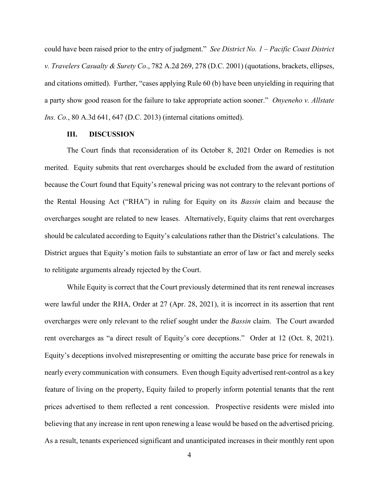could have been raised prior to the entry of judgment." *See District No. 1 – Pacific Coast District v. Travelers Casualty & Surety Co*., 782 A.2d 269, 278 (D.C. 2001) (quotations, brackets, ellipses, and citations omitted). Further, "cases applying Rule 60 (b) have been unyielding in requiring that a party show good reason for the failure to take appropriate action sooner." *Onyeneho v. Allstate Ins. Co.*, 80 A.3d 641, 647 (D.C. 2013) (internal citations omitted).

## **III. DISCUSSION**

The Court finds that reconsideration of its October 8, 2021 Order on Remedies is not merited. Equity submits that rent overcharges should be excluded from the award of restitution because the Court found that Equity's renewal pricing was not contrary to the relevant portions of the Rental Housing Act ("RHA") in ruling for Equity on its *Bassin* claim and because the overcharges sought are related to new leases. Alternatively, Equity claims that rent overcharges should be calculated according to Equity's calculations rather than the District's calculations. The District argues that Equity's motion fails to substantiate an error of law or fact and merely seeks to relitigate arguments already rejected by the Court.

While Equity is correct that the Court previously determined that its rent renewal increases were lawful under the RHA, Order at 27 (Apr. 28, 2021), it is incorrect in its assertion that rent overcharges were only relevant to the relief sought under the *Bassin* claim. The Court awarded rent overcharges as "a direct result of Equity's core deceptions." Order at 12 (Oct. 8, 2021). Equity's deceptions involved misrepresenting or omitting the accurate base price for renewals in nearly every communication with consumers. Even though Equity advertised rent-control as a key feature of living on the property, Equity failed to properly inform potential tenants that the rent prices advertised to them reflected a rent concession. Prospective residents were misled into believing that any increase in rent upon renewing a lease would be based on the advertised pricing. As a result, tenants experienced significant and unanticipated increases in their monthly rent upon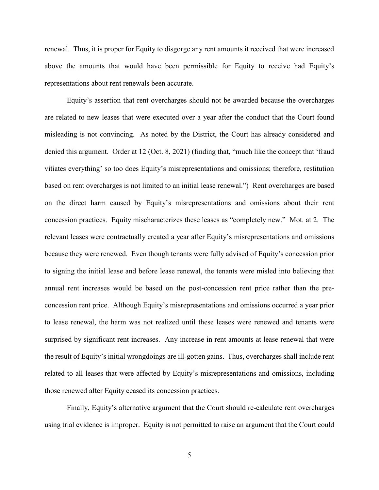renewal. Thus, it is proper for Equity to disgorge any rent amounts it received that were increased above the amounts that would have been permissible for Equity to receive had Equity's representations about rent renewals been accurate.

Equity's assertion that rent overcharges should not be awarded because the overcharges are related to new leases that were executed over a year after the conduct that the Court found misleading is not convincing. As noted by the District, the Court has already considered and denied this argument. Order at 12 (Oct. 8, 2021) (finding that, "much like the concept that 'fraud vitiates everything' so too does Equity's misrepresentations and omissions; therefore, restitution based on rent overcharges is not limited to an initial lease renewal.") Rent overcharges are based on the direct harm caused by Equity's misrepresentations and omissions about their rent concession practices. Equity mischaracterizes these leases as "completely new." Mot. at 2. The relevant leases were contractually created a year after Equity's misrepresentations and omissions because they were renewed. Even though tenants were fully advised of Equity's concession prior to signing the initial lease and before lease renewal, the tenants were misled into believing that annual rent increases would be based on the post-concession rent price rather than the preconcession rent price. Although Equity's misrepresentations and omissions occurred a year prior to lease renewal, the harm was not realized until these leases were renewed and tenants were surprised by significant rent increases. Any increase in rent amounts at lease renewal that were the result of Equity's initial wrongdoings are ill-gotten gains. Thus, overcharges shall include rent related to all leases that were affected by Equity's misrepresentations and omissions, including those renewed after Equity ceased its concession practices.

Finally, Equity's alternative argument that the Court should re-calculate rent overcharges using trial evidence is improper. Equity is not permitted to raise an argument that the Court could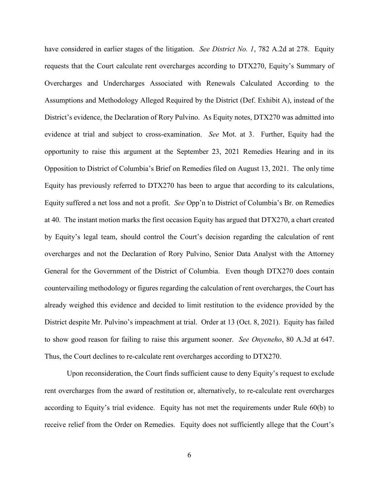have considered in earlier stages of the litigation. *See District No. 1*, 782 A.2d at 278. Equity requests that the Court calculate rent overcharges according to DTX270, Equity's Summary of Overcharges and Undercharges Associated with Renewals Calculated According to the Assumptions and Methodology Alleged Required by the District (Def. Exhibit A), instead of the District's evidence, the Declaration of Rory Pulvino. As Equity notes, DTX270 was admitted into evidence at trial and subject to cross-examination. *See* Mot. at 3. Further, Equity had the opportunity to raise this argument at the September 23, 2021 Remedies Hearing and in its Opposition to District of Columbia's Brief on Remedies filed on August 13, 2021. The only time Equity has previously referred to DTX270 has been to argue that according to its calculations, Equity suffered a net loss and not a profit. *See* Opp'n to District of Columbia's Br. on Remedies at 40. The instant motion marks the first occasion Equity has argued that DTX270, a chart created by Equity's legal team, should control the Court's decision regarding the calculation of rent overcharges and not the Declaration of Rory Pulvino, Senior Data Analyst with the Attorney General for the Government of the District of Columbia. Even though DTX270 does contain countervailing methodology or figures regarding the calculation of rent overcharges, the Court has already weighed this evidence and decided to limit restitution to the evidence provided by the District despite Mr. Pulvino's impeachment at trial. Order at 13 (Oct. 8, 2021). Equity has failed to show good reason for failing to raise this argument sooner. *See Onyeneho*, 80 A.3d at 647. Thus, the Court declines to re-calculate rent overcharges according to DTX270.

Upon reconsideration, the Court finds sufficient cause to deny Equity's request to exclude rent overcharges from the award of restitution or, alternatively, to re-calculate rent overcharges according to Equity's trial evidence. Equity has not met the requirements under Rule 60(b) to receive relief from the Order on Remedies. Equity does not sufficiently allege that the Court's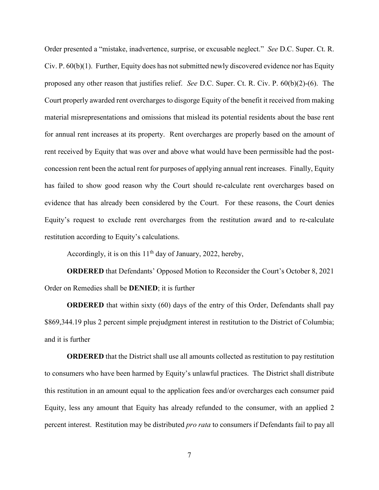Order presented a "mistake, inadvertence, surprise, or excusable neglect." *See* D.C. Super. Ct. R. Civ. P. 60(b)(1). Further, Equity does has not submitted newly discovered evidence nor has Equity proposed any other reason that justifies relief. *See* D.C. Super. Ct. R. Civ. P. 60(b)(2)-(6). The Court properly awarded rent overcharges to disgorge Equity of the benefit it received from making material misrepresentations and omissions that mislead its potential residents about the base rent for annual rent increases at its property. Rent overcharges are properly based on the amount of rent received by Equity that was over and above what would have been permissible had the postconcession rent been the actual rent for purposes of applying annual rent increases. Finally, Equity has failed to show good reason why the Court should re-calculate rent overcharges based on evidence that has already been considered by the Court. For these reasons, the Court denies Equity's request to exclude rent overcharges from the restitution award and to re-calculate restitution according to Equity's calculations.

Accordingly, it is on this  $11<sup>th</sup>$  day of January, 2022, hereby,

**ORDERED** that Defendants' Opposed Motion to Reconsider the Court's October 8, 2021 Order on Remedies shall be **DENIED**; it is further

**ORDERED** that within sixty (60) days of the entry of this Order, Defendants shall pay \$869,344.19 plus 2 percent simple prejudgment interest in restitution to the District of Columbia; and it is further

**ORDERED** that the District shall use all amounts collected as restitution to pay restitution to consumers who have been harmed by Equity's unlawful practices. The District shall distribute this restitution in an amount equal to the application fees and/or overcharges each consumer paid Equity, less any amount that Equity has already refunded to the consumer, with an applied 2 percent interest. Restitution may be distributed *pro rata* to consumers if Defendants fail to pay all